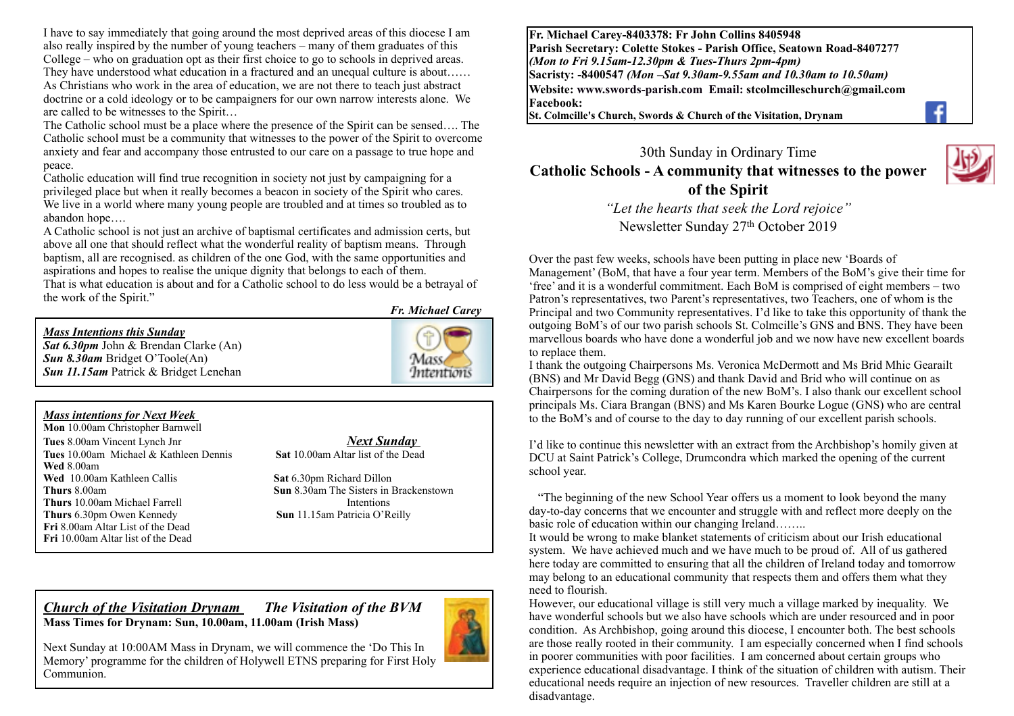I have to say immediately that going around the most deprived areas of this diocese I am also really inspired by the number of young teachers – many of them graduates of this College – who on graduation opt as their first choice to go to schools in deprived areas. They have understood what education in a fractured and an unequal culture is about…… As Christians who work in the area of education, we are not there to teach just abstract doctrine or a cold ideology or to be campaigners for our own narrow interests alone. We are called to be witnesses to the Spirit…

The Catholic school must be a place where the presence of the Spirit can be sensed…. The Catholic school must be a community that witnesses to the power of the Spirit to overcome anxiety and fear and accompany those entrusted to our care on a passage to true hope and peace.

Catholic education will find true recognition in society not just by campaigning for a privileged place but when it really becomes a beacon in society of the Spirit who cares. We live in a world where many young people are troubled and at times so troubled as to abandon hope….

A Catholic school is not just an archive of baptismal certificates and admission certs, but above all one that should reflect what the wonderful reality of baptism means. Through baptism, all are recognised. as children of the one God, with the same opportunities and aspirations and hopes to realise the unique dignity that belongs to each of them.

That is what education is about and for a Catholic school to do less would be a betrayal of the work of the Spirit."

#### *Mass Intentions this Sunday*

*Sat 6.30pm* John & Brendan Clarke (An) *Sun 8.30am* Bridget O'Toole(An) *Sun 11.15am* Patrick & Bridget Lenehan

*Fr. Michael Carey*

Mass **Intentions** 

#### *Mass intentions for Next Week*

**Mon** 10.00am Christopher Barnwell **Tues** 8.00am Vincent Lynch Jnr *Next Sunday*  **Tues** 10.00am Michael & Kathleen Dennis **Sat** 10.00am Altar list of the Dead **Wed** 8.00am **Wed** 10.00am Kathleen Callis **Sat** 6.30pm Richard Dillon **Thurs** 8.00am **Sun 8.30am** The Sisters in Brackenstown **Thurs** 10.00am Michael Farrell Intentions **Thurs** 6.30pm Owen Kennedy **Sun** 11.15am Patricia O'Reilly **Fri** 8.00am Altar List of the Dead **Fri** 10.00am Altar list of the Dead

#### *Church of the Visitation Drynam**The Visitation of the BVM* **Mass Times for Drynam: Sun, 10.00am, 11.00am (Irish Mass)**



Next Sunday at 10:00AM Mass in Drynam, we will commence the 'Do This In Memory' programme for the children of Holywell ETNS preparing for First Holy Communion.

**Fr. Michael Carey-8403378: Fr John Collins 8405948 Parish Secretary: Colette Stokes - Parish Office, Seatown Road-8407277**  *(Mon to Fri 9.15am-12.30pm & Tues-Thurs 2pm-4pm)*  **Sacristy: -8400547** *(Mon –Sat 9.30am-9.55am and 10.30am to 10.50am)* **Website: [www.swords-parish.com Email:](http://www.swords-parish.com%20%20email) stcolmcilleschurch@gmail.com Facebook:** 

**St. Colmcille's Church, Swords & Church of the Visitation, Drynam**



30th Sunday in Ordinary Time **Catholic Schools - A community that witnesses to the power of the Spirit**

> *"Let the hearts that seek the Lord rejoice"*  Newsletter Sunday 27th October 2019

Over the past few weeks, schools have been putting in place new 'Boards of Management' (BoM, that have a four year term. Members of the BoM's give their time for 'free' and it is a wonderful commitment. Each BoM is comprised of eight members – two Patron's representatives, two Parent's representatives, two Teachers, one of whom is the Principal and two Community representatives. I'd like to take this opportunity of thank the outgoing BoM's of our two parish schools St. Colmcille's GNS and BNS. They have been marvellous boards who have done a wonderful job and we now have new excellent boards to replace them.

I thank the outgoing Chairpersons Ms. Veronica McDermott and Ms Brid Mhic Gearailt (BNS) and Mr David Begg (GNS) and thank David and Brid who will continue on as Chairpersons for the coming duration of the new BoM's. I also thank our excellent school principals Ms. Ciara Brangan (BNS) and Ms Karen Bourke Logue (GNS) who are central to the BoM's and of course to the day to day running of our excellent parish schools.

I'd like to continue this newsletter with an extract from the Archbishop's homily given at DCU at Saint Patrick's College, Drumcondra which marked the opening of the current school year.

 "The beginning of the new School Year offers us a moment to look beyond the many day-to-day concerns that we encounter and struggle with and reflect more deeply on the basic role of education within our changing Ireland……..

It would be wrong to make blanket statements of criticism about our Irish educational system. We have achieved much and we have much to be proud of. All of us gathered here today are committed to ensuring that all the children of Ireland today and tomorrow may belong to an educational community that respects them and offers them what they need to flourish.

However, our educational village is still very much a village marked by inequality. We have wonderful schools but we also have schools which are under resourced and in poor condition. As Archbishop, going around this diocese, I encounter both. The best schools are those really rooted in their community. I am especially concerned when I find schools in poorer communities with poor facilities. I am concerned about certain groups who experience educational disadvantage. I think of the situation of children with autism. Their educational needs require an injection of new resources. Traveller children are still at a disadvantage.